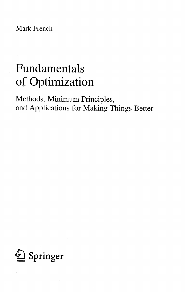Mark French

## Fundamentals of Optimization

Methods, Minimum Principles, and Applications for Making Things Better

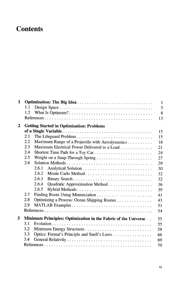## **Contents**

| 1           |     |                                                                | $\mathbf{1}$ |
|-------------|-----|----------------------------------------------------------------|--------------|
|             | 1.1 |                                                                | 5            |
|             | 1.2 |                                                                | 8            |
|             |     |                                                                | 13           |
| $\mathbf 2$ |     | <b>Getting Started in Optimization: Problems</b>               |              |
|             |     |                                                                | 15           |
|             | 2.1 | The Lifeguard Problem                                          | 15           |
|             | 2.2 | Maximum Range of a Projectile with Aerodynamics                | 18           |
|             | 2.3 | Maximum Electrical Power Delivered to a Load                   | 21           |
|             | 2.4 | Shortest Time Path for a Toy Car                               | 24           |
|             | 2.5 | Weight on a Snap-Through Spring                                | 27           |
|             | 2.6 |                                                                | 29           |
|             |     | 2.6.1                                                          | 30           |
|             |     | 2.6.2                                                          | 32           |
|             |     | 2.6.3                                                          | 32           |
|             |     | 2.6.4<br>Quadratic Approximation Method                        | 36           |
|             |     | 2.6.5<br>Hybrid Methods                                        | 39           |
|             | 2.7 |                                                                | 41           |
|             | 2.8 | Optimizing a Process: Ocean Shipping Routes                    | 43           |
|             | 2.9 |                                                                | 51           |
|             |     |                                                                | 54           |
| 3           |     | Minimum Principles: Optimization in the Fabric of the Universe | 55           |
|             | 3.1 |                                                                | 55           |
|             | 3.2 |                                                                | 58           |
|             | 3.3 | Optics: Fermat's Principle and Snell's Laws                    | 66           |
|             | 3.4 |                                                                | 69           |
|             |     |                                                                | 70           |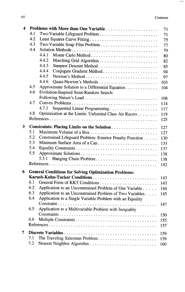$\overline{a}$  $\overline{\phantom{0}}$ 

| 4 |     | Problems with More than One Variable                         | 71  |
|---|-----|--------------------------------------------------------------|-----|
|   | 4.1 | Two-Variable Lifeguard Problem                               | 71  |
|   | 4.2 |                                                              | 75  |
|   | 4.3 |                                                              | 77  |
|   | 4.4 |                                                              | 79  |
|   |     | 4.4.1                                                        | 80  |
|   |     | 4.4.2                                                        | 82  |
|   |     | 4.4.3                                                        | 85  |
|   |     | 4.4.4                                                        | 94  |
|   |     | 4.4.5                                                        | 97  |
|   |     | 4.4.6<br>Ouasi-Newton's Methods                              | 103 |
|   | 4.5 | Approximate Solution to a Differential Equation              | 104 |
|   | 4.6 | Evolution-Inspired Semi-Random Search:                       |     |
|   |     |                                                              | 108 |
|   | 4.7 |                                                              | 114 |
|   |     | 4.7.1                                                        | 117 |
|   | 4.8 | Optimization at the Limits: Unlimited Class Air Racers       | 119 |
|   |     |                                                              | 125 |
| 5 |     |                                                              | 127 |
|   | 5.1 | Maximum Volume of a Box                                      | 127 |
|   | 5.2 | Constrained Lifeguard Problem: Exterior Penalty Function     | 130 |
|   | 5.3 | Minimum Surface Area of a Can                                | 133 |
|   | 5.4 |                                                              | 137 |
|   | 5.5 |                                                              | 138 |
|   |     | 5.5.1                                                        | 138 |
|   |     |                                                              | 142 |
| 6 |     | <b>General Conditions for Solving Optimization Problems:</b> |     |
|   |     | Karush-Kuhn-Tucker Conditions                                | 143 |
|   | 6.1 |                                                              | 143 |
|   | 6.2 | Application to an Unconstrained Problem of One Variable      | 144 |
|   | 6.3 | Application to an Unconstrained Problem of Two Variables     | 145 |
|   | 6.4 | Application to a Single Variable Problem with an Equality    |     |
|   |     |                                                              | 147 |
|   | 6.5 | Application to a Multivariable Problem with Inequality       |     |
|   |     |                                                              | 150 |
|   | 6.6 |                                                              | 155 |
|   |     |                                                              | 157 |
| 7 |     |                                                              | 159 |
|   | 7.1 | The Traveling Salesman Problem                               | 159 |
|   | 7.2 | Nearest Neighbor Algorithm                                   | 160 |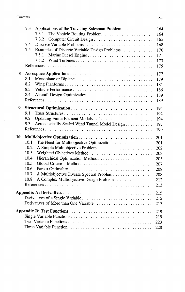|    | 7.3<br>Applications of the Traveling Salesman Problem<br>7.3.1<br>7.3.2<br>Discrete Variable Problems<br>7.4<br>7.5<br>Examples of Discrete Variable Design Problems<br>7.5.1<br>7.5.2           | 164<br>164<br>165<br>168<br>170<br>171<br>173                      |
|----|--------------------------------------------------------------------------------------------------------------------------------------------------------------------------------------------------|--------------------------------------------------------------------|
|    |                                                                                                                                                                                                  | 175                                                                |
| 8  | 8.1<br>Monoplane or Biplane<br>8.2<br>8.3<br>8.4                                                                                                                                                 | 177<br>179<br>181<br>186<br>189<br>189                             |
| 9  | 9.1<br>9.2<br>9.3<br>Aeroelastically Scaled Wind Tunnel Model Design                                                                                                                             | 191<br>192<br>194<br>197<br>199                                    |
| 10 | 10.1<br>The Need for Multiobjective Optimization<br>10.2<br>10.3<br>10.4<br>10.5<br>10.6<br>10.7<br>A Multiobjective Inverse Spectral Problem<br>10.8<br>A Complex Multiobjective Design Problem | 201<br>201<br>202<br>203<br>205<br>207<br>208<br>208<br>212<br>213 |
|    |                                                                                                                                                                                                  | 215<br>215<br>217                                                  |
|    |                                                                                                                                                                                                  | 219<br>219<br>223<br>228                                           |